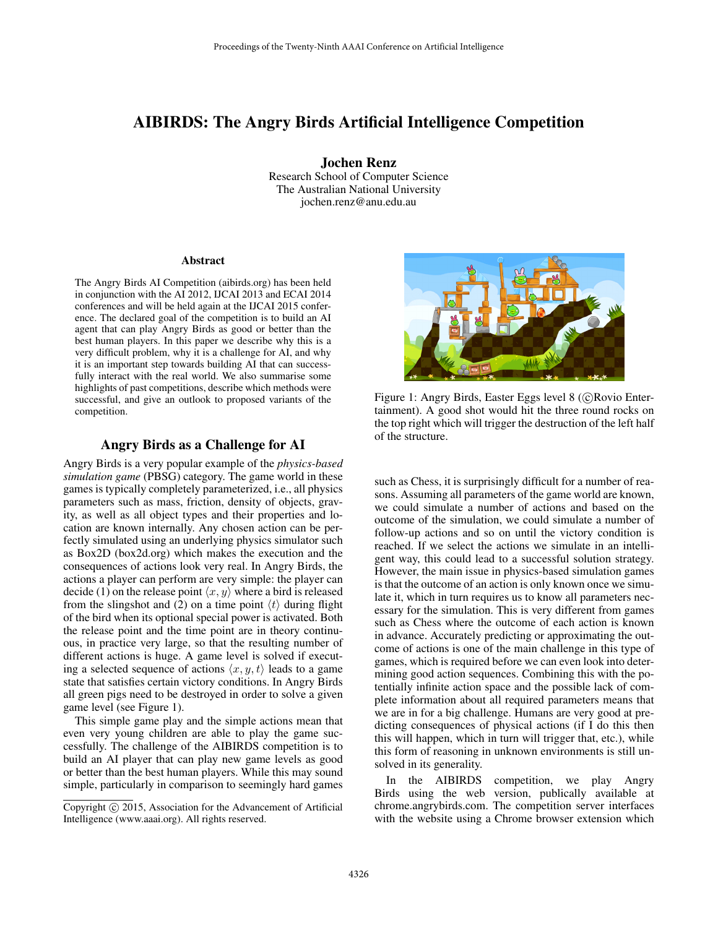# AIBIRDS: The Angry Birds Artificial Intelligence Competition

Jochen Renz Research School of Computer Science The Australian National University jochen.renz@anu.edu.au

#### Abstract

The Angry Birds AI Competition (aibirds.org) has been held in conjunction with the AI 2012, IJCAI 2013 and ECAI 2014 conferences and will be held again at the IJCAI 2015 conference. The declared goal of the competition is to build an AI agent that can play Angry Birds as good or better than the best human players. In this paper we describe why this is a very difficult problem, why it is a challenge for AI, and why it is an important step towards building AI that can successfully interact with the real world. We also summarise some highlights of past competitions, describe which methods were successful, and give an outlook to proposed variants of the competition.

## Angry Birds as a Challenge for AI

Angry Birds is a very popular example of the *physics-based simulation game* (PBSG) category. The game world in these games is typically completely parameterized, i.e., all physics parameters such as mass, friction, density of objects, gravity, as well as all object types and their properties and location are known internally. Any chosen action can be perfectly simulated using an underlying physics simulator such as Box2D (box2d.org) which makes the execution and the consequences of actions look very real. In Angry Birds, the actions a player can perform are very simple: the player can decide (1) on the release point  $\langle x, y \rangle$  where a bird is released from the slingshot and (2) on a time point  $\langle t \rangle$  during flight of the bird when its optional special power is activated. Both the release point and the time point are in theory continuous, in practice very large, so that the resulting number of different actions is huge. A game level is solved if executing a selected sequence of actions  $\langle x, y, t \rangle$  leads to a game state that satisfies certain victory conditions. In Angry Birds all green pigs need to be destroyed in order to solve a given game level (see Figure 1).

This simple game play and the simple actions mean that even very young children are able to play the game successfully. The challenge of the AIBIRDS competition is to build an AI player that can play new game levels as good or better than the best human players. While this may sound simple, particularly in comparison to seemingly hard games



Figure 1: Angry Birds, Easter Eggs level 8 (C)Rovio Entertainment). A good shot would hit the three round rocks on the top right which will trigger the destruction of the left half of the structure.

such as Chess, it is surprisingly difficult for a number of reasons. Assuming all parameters of the game world are known, we could simulate a number of actions and based on the outcome of the simulation, we could simulate a number of follow-up actions and so on until the victory condition is reached. If we select the actions we simulate in an intelligent way, this could lead to a successful solution strategy. However, the main issue in physics-based simulation games is that the outcome of an action is only known once we simulate it, which in turn requires us to know all parameters necessary for the simulation. This is very different from games such as Chess where the outcome of each action is known in advance. Accurately predicting or approximating the outcome of actions is one of the main challenge in this type of games, which is required before we can even look into determining good action sequences. Combining this with the potentially infinite action space and the possible lack of complete information about all required parameters means that we are in for a big challenge. Humans are very good at predicting consequences of physical actions (if I do this then this will happen, which in turn will trigger that, etc.), while this form of reasoning in unknown environments is still unsolved in its generality.

In the AIBIRDS competition, we play Angry Birds using the web version, publically available at chrome.angrybirds.com. The competition server interfaces with the website using a Chrome browser extension which

Copyright (c) 2015, Association for the Advancement of Artificial Intelligence (www.aaai.org). All rights reserved.